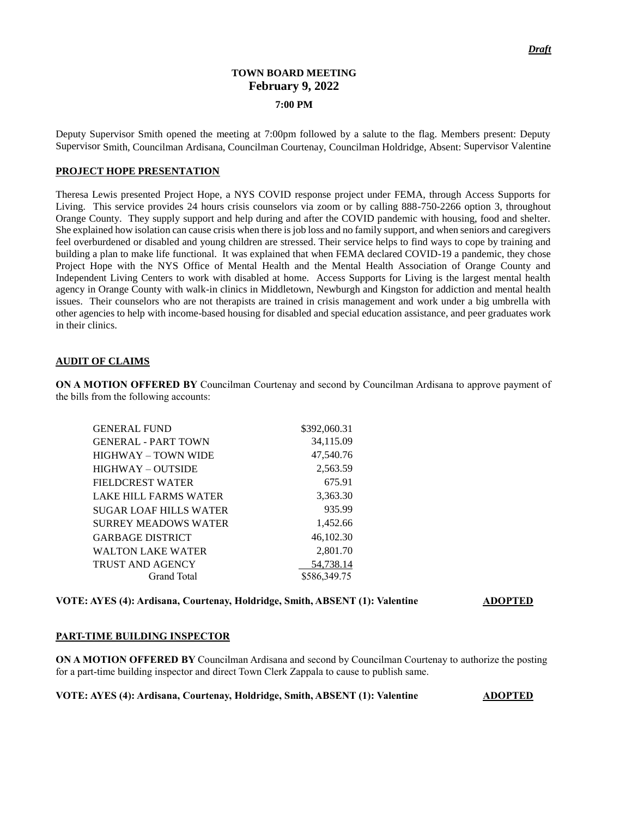# **TOWN BOARD MEETING February 9, 2022 7:00 PM**

Deputy Supervisor Smith opened the meeting at 7:00pm followed by a salute to the flag. Members present: Deputy Supervisor Smith, Councilman Ardisana, Councilman Courtenay, Councilman Holdridge, Absent: Supervisor Valentine

#### **PROJECT HOPE PRESENTATION**

Theresa Lewis presented Project Hope, a NYS COVID response project under FEMA, through Access Supports for Living. This service provides 24 hours crisis counselors via zoom or by calling 888-750-2266 option 3, throughout Orange County. They supply support and help during and after the COVID pandemic with housing, food and shelter. She explained how isolation can cause crisis when there is job loss and no family support, and when seniors and caregivers feel overburdened or disabled and young children are stressed. Their service helps to find ways to cope by training and building a plan to make life functional. It was explained that when FEMA declared COVID-19 a pandemic, they chose Project Hope with the NYS Office of Mental Health and the Mental Health Association of Orange County and Independent Living Centers to work with disabled at home. Access Supports for Living is the largest mental health agency in Orange County with walk-in clinics in Middletown, Newburgh and Kingston for addiction and mental health issues. Their counselors who are not therapists are trained in crisis management and work under a big umbrella with other agencies to help with income-based housing for disabled and special education assistance, and peer graduates work in their clinics.

#### **AUDIT OF CLAIMS**

**ON A MOTION OFFERED BY** Councilman Courtenay and second by Councilman Ardisana to approve payment of the bills from the following accounts:

| <b>GENERAL FUND</b>           | \$392,060.31 |
|-------------------------------|--------------|
| <b>GENERAL - PART TOWN</b>    | 34,115.09    |
| HIGHWAY – TOWN WIDE           | 47,540.76    |
| HIGHWAY – OUTSIDE             | 2,563.59     |
| FIELDCREST WATER              | 675.91       |
| LAKE HILL FARMS WATER         | 3,363.30     |
| <b>SUGAR LOAF HILLS WATER</b> | 935.99       |
| <b>SURREY MEADOWS WATER</b>   | 1,452.66     |
| <b>GARBAGE DISTRICT</b>       | 46,102.30    |
| <b>WALTON LAKE WATER</b>      | 2,801.70     |
| <b>TRUST AND AGENCY</b>       | 54.738.14    |
| Grand Total                   | \$586,349.75 |

#### **VOTE: AYES (4): Ardisana, Courtenay, Holdridge, Smith, ABSENT (1): Valentine <b>ADOPTED**

#### **PART-TIME BUILDING INSPECTOR**

**ON A MOTION OFFERED BY** Councilman Ardisana and second by Councilman Courtenay to authorize the posting for a part-time building inspector and direct Town Clerk Zappala to cause to publish same.

**VOTE: AYES (4): Ardisana, Courtenay, Holdridge, Smith, ABSENT (1): Valentine <b>ADOPTED**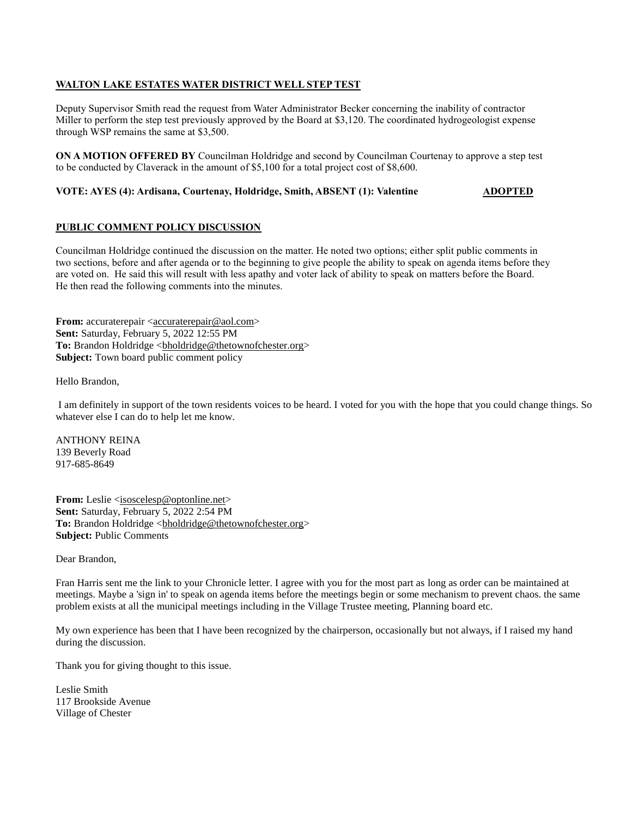## **WALTON LAKE ESTATES WATER DISTRICT WELL STEP TEST**

Deputy Supervisor Smith read the request from Water Administrator Becker concerning the inability of contractor Miller to perform the step test previously approved by the Board at \$3,120. The coordinated hydrogeologist expense through WSP remains the same at \$3,500.

**ON A MOTION OFFERED BY** Councilman Holdridge and second by Councilman Courtenay to approve a step test to be conducted by Claverack in the amount of \$5,100 for a total project cost of \$8,600.

## **VOTE: AYES (4): Ardisana, Courtenay, Holdridge, Smith, ABSENT (1): Valentine <b>ADOPTED**

## **PUBLIC COMMENT POLICY DISCUSSION**

Councilman Holdridge continued the discussion on the matter. He noted two options; either split public comments in two sections, before and after agenda or to the beginning to give people the ability to speak on agenda items before they are voted on. He said this will result with less apathy and voter lack of ability to speak on matters before the Board. He then read the following comments into the minutes.

**From:** accuraterepair [<accuraterepair@aol.com>](mailto:accuraterepair@aol.com) **Sent:** Saturday, February 5, 2022 12:55 PM To: Brandon Holdridge [<bholdridge@thetownofchester.org>](mailto:bholdridge@thetownofchester.org) **Subject:** Town board public comment policy

Hello Brandon,

I am definitely in support of the town residents voices to be heard. I voted for you with the hope that you could change things. So whatever else I can do to help let me know.

ANTHONY REINA 139 Beverly Road 917-685-8649

**From:** Leslie [<isoscelesp@optonline.net>](mailto:isoscelesp@optonline.net) **Sent:** Saturday, February 5, 2022 2:54 PM To: Brandon Holdridge [<bholdridge@thetownofchester.org>](mailto:bholdridge@thetownofchester.org) **Subject:** Public Comments

Dear Brandon,

Fran Harris sent me the link to your Chronicle letter. I agree with you for the most part as long as order can be maintained at meetings. Maybe a 'sign in' to speak on agenda items before the meetings begin or some mechanism to prevent chaos. the same problem exists at all the municipal meetings including in the Village Trustee meeting, Planning board etc.

My own experience has been that I have been recognized by the chairperson, occasionally but not always, if I raised my hand during the discussion.

Thank you for giving thought to this issue.

Leslie Smith 117 Brookside Avenue Village of Chester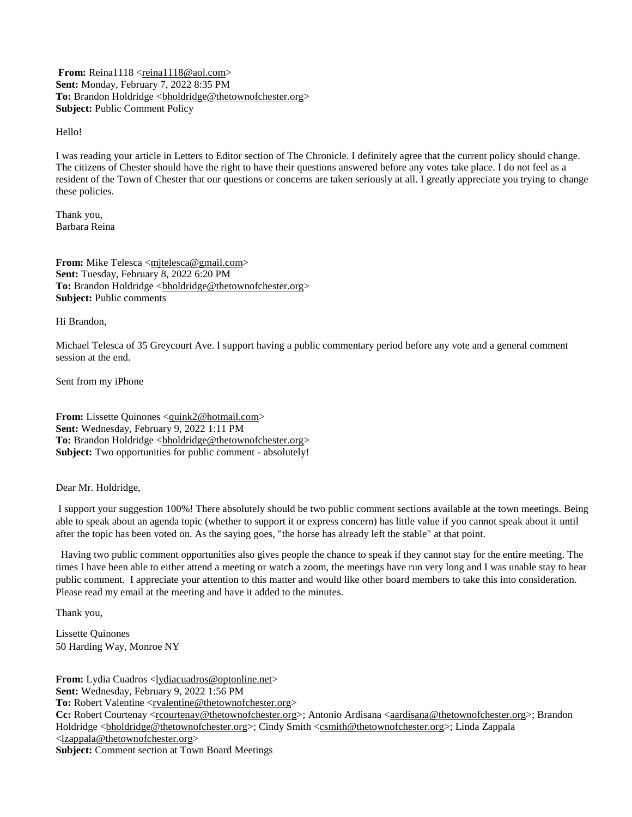**From:** Reina1118 <<u>reina1118@aol.com</u>> **Sent:** Monday, February 7, 2022 8:35 PM To: Brandon Holdridge <br/>bholdridge@thetownofchester.org> **Subject:** Public Comment Policy

Hello!

I was reading your article in Letters to Editor section of The Chronicle. I definitely agree that the current policy should change. The citizens of Chester should have the right to have their questions answered before any votes take place. I do not feel as a resident of the Town of Chester that our questions or concerns are taken seriously at all. I greatly appreciate you trying to change these policies.

Thank you, Barbara Reina

**From:** Mike Telesca [<mjtelesca@gmail.com>](mailto:mjtelesca@gmail.com) **Sent:** Tuesday, February 8, 2022 6:20 PM To: Brandon Holdridge [<bholdridge@thetownofchester.org>](mailto:bholdridge@thetownofchester.org) **Subject:** Public comments

Hi Brandon,

Michael Telesca of 35 Greycourt Ave. I support having a public commentary period before any vote and a general comment session at the end.

Sent from my iPhone

**From:** Lissette Quinones [<quink2@hotmail.com>](mailto:quink2@hotmail.com) **Sent:** Wednesday, February 9, 2022 1:11 PM To: Brandon Holdridge [<bholdridge@thetownofchester.org>](mailto:bholdridge@thetownofchester.org) **Subject:** Two opportunities for public comment - absolutely!

Dear Mr. Holdridge,

I support your suggestion 100%! There absolutely should be two public comment sections available at the town meetings. Being able to speak about an agenda topic (whether to support it or express concern) has little value if you cannot speak about it until after the topic has been voted on. As the saying goes, "the horse has already left the stable" at that point.

Having two public comment opportunities also gives people the chance to speak if they cannot stay for the entire meeting. The times I have been able to either attend a meeting or watch a zoom, the meetings have run very long and I was unable stay to hear public comment. I appreciate your attention to this matter and would like other board members to take this into consideration. Please read my email at the meeting and have it added to the minutes.

Thank you,

Lissette Quinones 50 Harding Way, Monroe NY

**From:** Lydia Cuadros <<u>lydiacuadros@optonline.net</u>> **Sent:** Wednesday, February 9, 2022 1:56 PM To: Robert Valentine <<u>rvalentine@thetownofchester.org</u>> **Cc:** Robert Courtenay <<u>rcourtenay@thetownofchester.org</u>>; Antonio Ardisana [<aardisana@thetownofchester.org>](mailto:aardisana@thetownofchester.org); Brandon Holdridge <br/>>holdridge@thetownofchester.org>; Cindy Smith <<<rr/>mith@thetownofchester.org>; Linda Zappala [<lzappala@thetownofchester.org>](mailto:lzappala@thetownofchester.org) **Subject:** Comment section at Town Board Meetings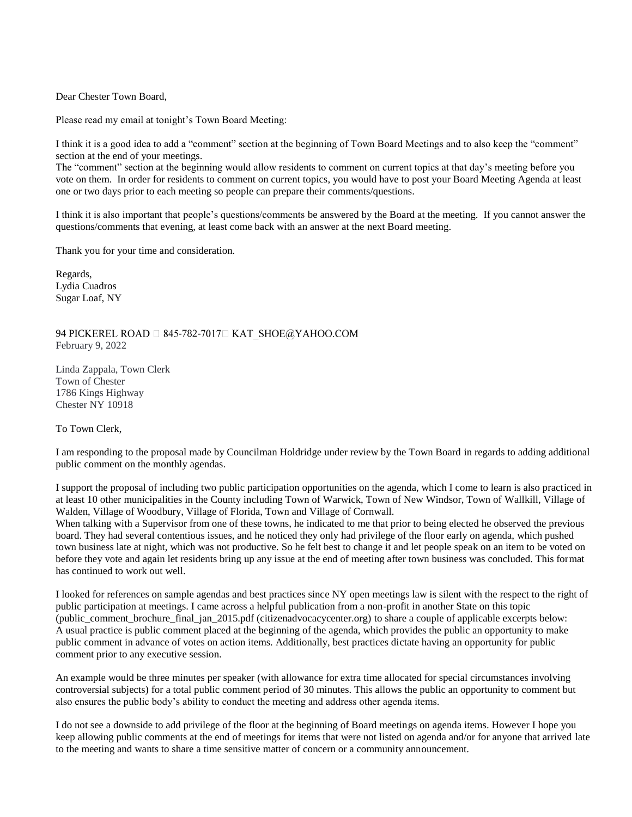Dear Chester Town Board,

Please read my email at tonight's Town Board Meeting:

I think it is a good idea to add a "comment" section at the beginning of Town Board Meetings and to also keep the "comment" section at the end of your meetings.

The "comment" section at the beginning would allow residents to comment on current topics at that day's meeting before you vote on them. In order for residents to comment on current topics, you would have to post your Board Meeting Agenda at least one or two days prior to each meeting so people can prepare their comments/questions.

I think it is also important that people's questions/comments be answered by the Board at the meeting. If you cannot answer the questions/comments that evening, at least come back with an answer at the next Board meeting.

Thank you for your time and consideration.

Regards, Lydia Cuadros Sugar Loaf, NY

94 PICKEREL ROAD  $\Box$  845-782-7017 $\Box$  KAT SHOE@YAHOO.COM February 9, 2022

Linda Zappala, Town Clerk Town of Chester 1786 Kings Highway Chester NY 10918

To Town Clerk,

I am responding to the proposal made by Councilman Holdridge under review by the Town Board in regards to adding additional public comment on the monthly agendas.

I support the proposal of including two public participation opportunities on the agenda, which I come to learn is also practiced in at least 10 other municipalities in the County including Town of Warwick, Town of New Windsor, Town of Wallkill, Village of Walden, Village of Woodbury, Village of Florida, Town and Village of Cornwall.

When talking with a Supervisor from one of these towns, he indicated to me that prior to being elected he observed the previous board. They had several contentious issues, and he noticed they only had privilege of the floor early on agenda, which pushed town business late at night, which was not productive. So he felt best to change it and let people speak on an item to be voted on before they vote and again let residents bring up any issue at the end of meeting after town business was concluded. This format has continued to work out well.

I looked for references on sample agendas and best practices since NY open meetings law is silent with the respect to the right of public participation at meetings. I came across a helpful publication from a non-profit in another State on this topic (public\_comment\_brochure\_final\_jan\_2015.pdf (citizenadvocacycenter.org) to share a couple of applicable excerpts below: A usual practice is public comment placed at the beginning of the agenda, which provides the public an opportunity to make public comment in advance of votes on action items. Additionally, best practices dictate having an opportunity for public comment prior to any executive session.

An example would be three minutes per speaker (with allowance for extra time allocated for special circumstances involving controversial subjects) for a total public comment period of 30 minutes. This allows the public an opportunity to comment but also ensures the public body's ability to conduct the meeting and address other agenda items.

I do not see a downside to add privilege of the floor at the beginning of Board meetings on agenda items. However I hope you keep allowing public comments at the end of meetings for items that were not listed on agenda and/or for anyone that arrived late to the meeting and wants to share a time sensitive matter of concern or a community announcement.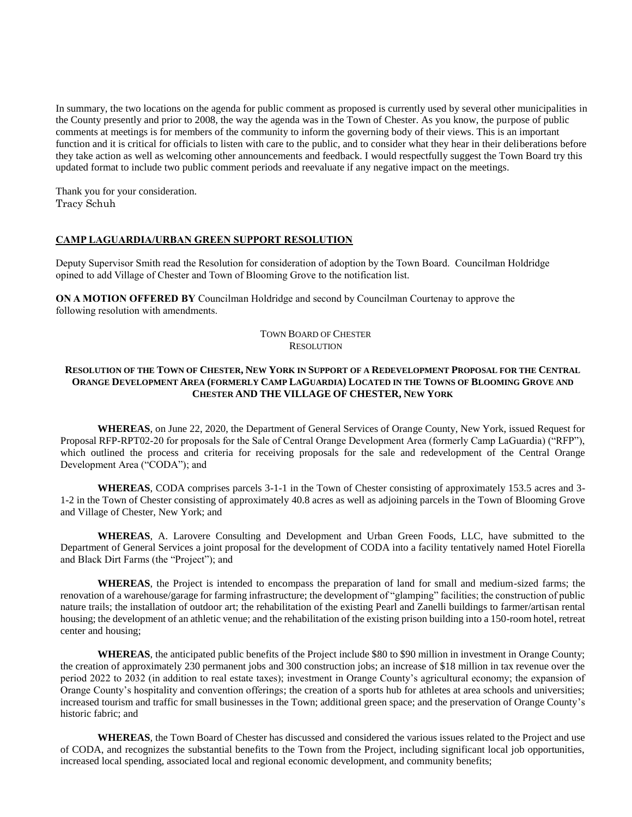In summary, the two locations on the agenda for public comment as proposed is currently used by several other municipalities in the County presently and prior to 2008, the way the agenda was in the Town of Chester. As you know, the purpose of public comments at meetings is for members of the community to inform the governing body of their views. This is an important function and it is critical for officials to listen with care to the public, and to consider what they hear in their deliberations before they take action as well as welcoming other announcements and feedback. I would respectfully suggest the Town Board try this updated format to include two public comment periods and reevaluate if any negative impact on the meetings.

Thank you for your consideration. Tracy Schuh

#### **CAMP LAGUARDIA/URBAN GREEN SUPPORT RESOLUTION**

Deputy Supervisor Smith read the Resolution for consideration of adoption by the Town Board. Councilman Holdridge opined to add Village of Chester and Town of Blooming Grove to the notification list.

**ON A MOTION OFFERED BY** Councilman Holdridge and second by Councilman Courtenay to approve the following resolution with amendments.

## TOWN BOARD OF CHESTER **RESOLUTION**

#### RESOLUTION OF THE TOWN OF CHESTER, NEW YORK IN SUPPORT OF A REDEVELOPMENT PROPOSAL FOR THE CENTRAL ORANGE DEVELOPMENT AREA (FORMERLY CAMP LAGUARDIA) LOCATED IN THE TOWNS OF BLOOMING GROVE AND **CHESTER AND THE VILLAGE OF CHESTER, NEW YORK**

**WHEREAS**, on June 22, 2020, the Department of General Services of Orange County, New York, issued Request for Proposal RFP-RPT02-20 for proposals for the Sale of Central Orange Development Area (formerly Camp LaGuardia) ("RFP"), which outlined the process and criteria for receiving proposals for the sale and redevelopment of the Central Orange Development Area ("CODA"); and

WHEREAS, CODA comprises parcels 3-1-1 in the Town of Chester consisting of approximately 153.5 acres and 3-1-2 in the Town of Chester consisting of approximately 40.8 acres as well as adjoining parcels in the Town of Blooming Grove and Village of Chester, New York; and

**WHEREAS**, A. Larovere Consulting and Development and Urban Green Foods, LLC, have submitted to the Department of General Services a joint proposal for the development of CODA into a facility tentatively named Hotel Fiorella and Black Dirt Farms (the "Project"); and

**WHEREAS**, the Project is intended to encompass the preparation of land for small and medium-sized farms; the renovation of a warehouse/garage for farming infrastructure; the development of "glamping" facilities; the construction of public nature trails; the installation of outdoor art; the rehabilitation of the existing Pearl and Zanelli buildings to farmer/artisan rental housing; the development of an athletic venue; and the rehabilitation of the existing prison building into a 150-room hotel, retreat center and housing;

**WHEREAS**, the anticipated public benefits of the Project include \$80 to \$90 million in investment in Orange County; the creation of approximately 230 permanent jobs and 300 construction jobs; an increase of \$18 million in tax revenue over the period 2022 to 2032 (in addition to real estate taxes); investment in Orange County's agricultural economy; the expansion of Orange County's hospitality and convention offerings; the creation of a sports hub for athletes at area schools and universities; increased tourism and traffic for small businesses in the Town; additional green space; and the preservation of Orange County's historic fabric; and

**WHEREAS**, the Town Board of Chester has discussed and considered the various issues related to the Project and use of CODA, and recognizes the substantial benefits to the Town from the Project, including significant local job opportunities, increased local spending, associated local and regional economic development, and community benefits;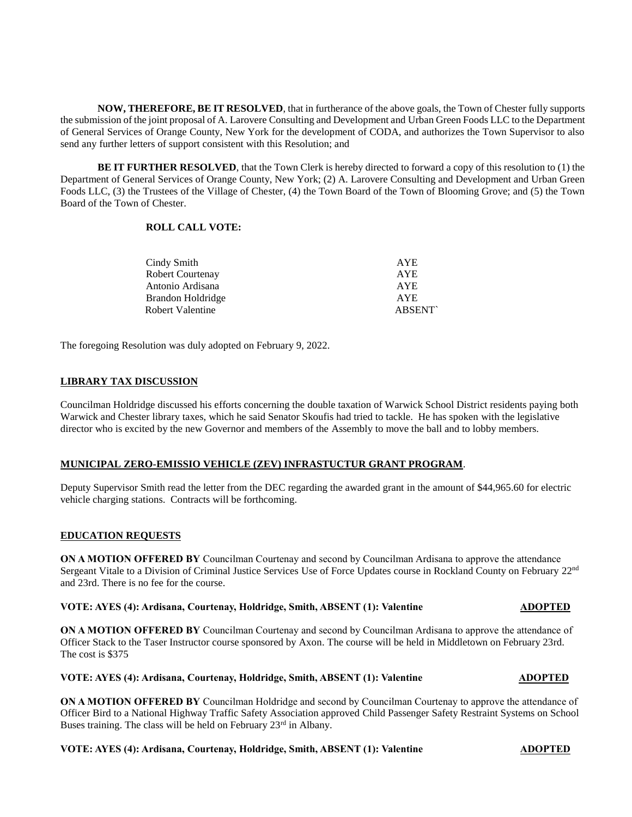**NOW, THEREFORE, BE IT RESOLVED**, that in furtherance of the above goals, the Town of Chester fully supports the submission of the joint proposal of A. Larovere Consulting and Development and Urban Green Foods LLC to the Department of General Services of Orange County, New York for the development of CODA, and authorizes the Town Supervisor to also send any further letters of support consistent with this Resolution; and

**BE IT FURTHER RESOLVED**, that the Town Clerk is hereby directed to forward a copy of this resolution to (1) the Department of General Services of Orange County, New York; (2) A. Larovere Consulting and Development and Urban Green Foods LLC, (3) the Trustees of the Village of Chester, (4) the Town Board of the Town of Blooming Grove; and (5) the Town Board of the Town of Chester.

## **ROLL CALL VOTE:**

| Cindy Smith             | <b>AYE</b>    |
|-------------------------|---------------|
| <b>Robert Courtenay</b> | AYE.          |
| Antonio Ardisana        | <b>AYE</b>    |
| Brandon Holdridge       | <b>AYE</b>    |
| Robert Valentine        | <b>ABSENT</b> |

The foregoing Resolution was duly adopted on February 9, 2022.

## **LIBRARY TAX DISCUSSION**

Councilman Holdridge discussed his efforts concerning the double taxation of Warwick School District residents paying both Warwick and Chester library taxes, which he said Senator Skoufis had tried to tackle. He has spoken with the legislative director who is excited by the new Governor and members of the Assembly to move the ball and to lobby members.

#### **MUNICIPAL ZERO-EMISSIO VEHICLE (ZEV) INFRASTUCTUR GRANT PROGRAM**.

Deputy Supervisor Smith read the letter from the DEC regarding the awarded grant in the amount of \$44,965.60 for electric vehicle charging stations. Contracts will be forthcoming.

#### **EDUCATION REQUESTS**

**ON A MOTION OFFERED BY** Councilman Courtenay and second by Councilman Ardisana to approve the attendance Sergeant Vitale to a Division of Criminal Justice Services Use of Force Updates course in Rockland County on February 22nd and 23rd. There is no fee for the course.

#### **VOTE: AYES (4): Ardisana, Courtenay, Holdridge, Smith, ABSENT (1): Valentine <b>ADOPTED**

**ON A MOTION OFFERED BY** Councilman Courtenay and second by Councilman Ardisana to approve the attendance of Officer Stack to the Taser Instructor course sponsored by Axon. The course will be held in Middletown on February 23rd. The cost is \$375

**VOTE: AYES (4): Ardisana, Courtenay, Holdridge, Smith, ABSENT (1): Valentine ADOPTED**

**ON A MOTION OFFERED BY** Councilman Holdridge and second by Councilman Courtenay to approve the attendance of Officer Bird to a National Highway Traffic Safety Association approved Child Passenger Safety Restraint Systems on School Buses training. The class will be held on February  $23<sup>rd</sup>$  in Albany.

## **VOTE: AYES (4): Ardisana, Courtenay, Holdridge, Smith, ABSENT (1): Valentine <b>ADOPTED**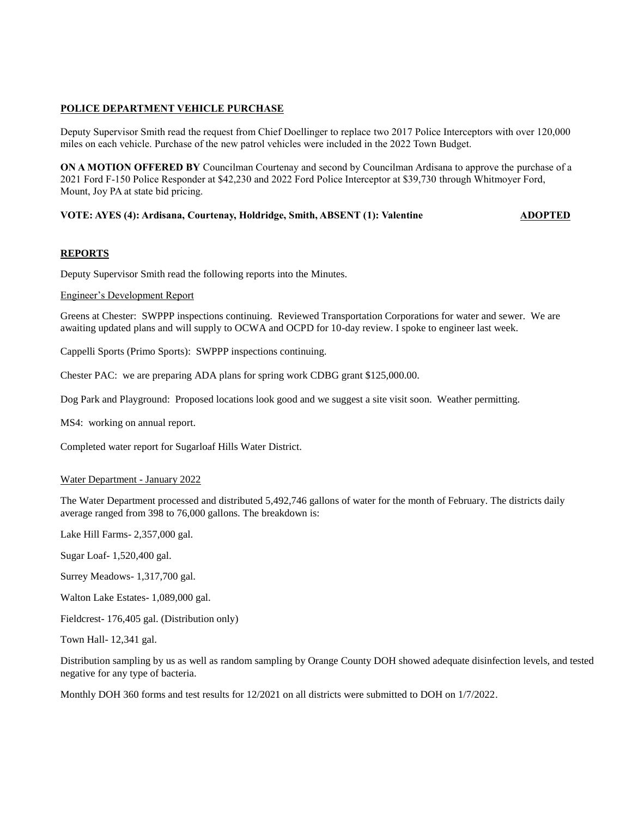## **POLICE DEPARTMENT VEHICLE PURCHASE**

Deputy Supervisor Smith read the request from Chief Doellinger to replace two 2017 Police Interceptors with over 120,000 miles on each vehicle. Purchase of the new patrol vehicles were included in the 2022 Town Budget.

**ON A MOTION OFFERED BY** Councilman Courtenay and second by Councilman Ardisana to approve the purchase of a 2021 Ford F-150 Police Responder at \$42,230 and 2022 Ford Police Interceptor at \$39,730 through Whitmoyer Ford, Mount, Joy PA at state bid pricing.

#### **VOTE: AYES (4): Ardisana, Courtenay, Holdridge, Smith, ABSENT (1): Valentine <b>ADOPTED**

#### **REPORTS**

Deputy Supervisor Smith read the following reports into the Minutes.

## Engineer's Development Report

Greens at Chester: SWPPP inspections continuing. Reviewed Transportation Corporations for water and sewer. We are awaiting updated plans and will supply to OCWA and OCPD for 10-day review. I spoke to engineer last week.

Cappelli Sports (Primo Sports): SWPPP inspections continuing.

Chester PAC: we are preparing ADA plans for spring work CDBG grant \$125,000.00.

Dog Park and Playground: Proposed locations look good and we suggest a site visit soon. Weather permitting.

MS4: working on annual report.

Completed water report for Sugarloaf Hills Water District.

#### Water Department - January 2022

The Water Department processed and distributed 5,492,746 gallons of water for the month of February. The districts daily average ranged from 398 to 76,000 gallons. The breakdown is:

Lake Hill Farms- 2,357,000 gal.

Sugar Loaf- 1,520,400 gal.

Surrey Meadows- 1,317,700 gal.

Walton Lake Estates- 1,089,000 gal.

Fieldcrest- 176,405 gal. (Distribution only)

Town Hall- 12,341 gal.

Distribution sampling by us as well as random sampling by Orange County DOH showed adequate disinfection levels, and tested negative for any type of bacteria.

Monthly DOH 360 forms and test results for 12/2021 on all districts were submitted to DOH on 1/7/2022.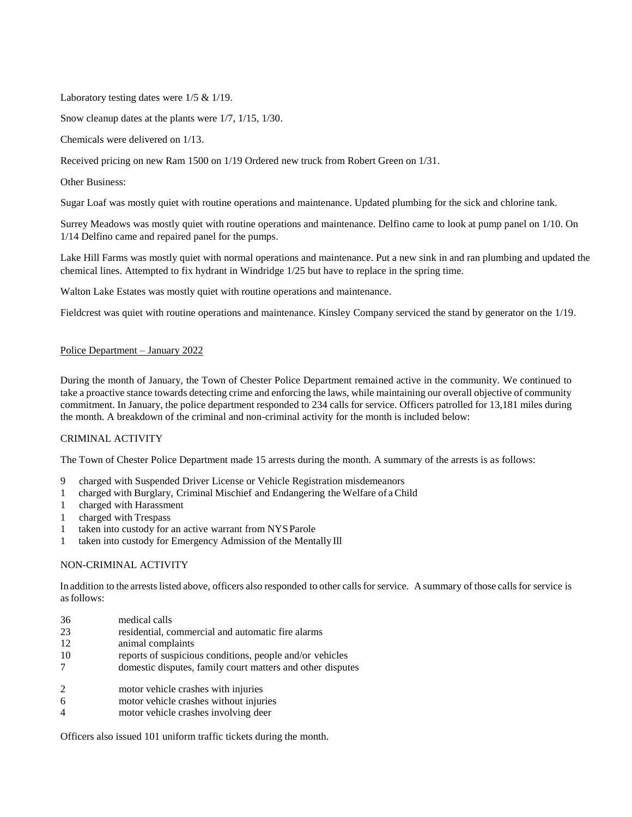Laboratory testing dates were 1/5 & 1/19.

Snow cleanup dates at the plants were 1/7, 1/15, 1/30.

Chemicals were delivered on 1/13.

Received pricing on new Ram 1500 on 1/19 Ordered new truck from Robert Green on 1/31.

Other Business:

Sugar Loaf was mostly quiet with routine operations and maintenance. Updated plumbing for the sick and chlorine tank.

Surrey Meadows was mostly quiet with routine operations and maintenance. Delfino came to look at pump panel on 1/10. On 1/14 Delfino came and repaired panel for the pumps.

Lake Hill Farms was mostly quiet with normal operations and maintenance. Put a new sink in and ran plumbing and updated the chemical lines. Attempted to fix hydrant in Windridge 1/25 but have to replace in the spring time.

Walton Lake Estates was mostly quiet with routine operations and maintenance.

Fieldcrest was quiet with routine operations and maintenance. Kinsley Company serviced the stand by generator on the 1/19.

## Police Department – January 2022

During the month of January, the Town of Chester Police Department remained active in the community. We continued to take a proactive stance towards detecting crime and enforcing the laws, while maintaining our overall objective of community commitment. In January, the police department responded to 234 calls for service. Officers patrolled for 13,181 miles during the month. A breakdown of the criminal and non-criminal activity for the month is included below:

## CRIMINAL ACTIVITY

The Town of Chester Police Department made 15 arrests during the month. A summary of the arrests is as follows:

- 9 charged with Suspended Driver License or Vehicle Registration misdemeanors
- 1 charged with Burglary, Criminal Mischief and Endangering the Welfare of a Child
- 1 charged with Harassment
- 1 charged with Trespass
- 1 taken into custody for an active warrant from NYSParole
- 1 taken into custody for Emergency Admission of the Mentally Ill

## NON-CRIMINAL ACTIVITY

In addition to the arrests listed above, officers also responded to other calls for service. A summary of those calls for service is asfollows:

| 36             | medical calls                                              |
|----------------|------------------------------------------------------------|
| 23             | residential, commercial and automatic fire alarms          |
| 12             | animal complaints                                          |
| 10             | reports of suspicious conditions, people and/or vehicles   |
| 7              | domestic disputes, family court matters and other disputes |
| 2              | motor vehicle crashes with injuries                        |
| 6              | motor vehicle crashes without injuries                     |
| $\overline{4}$ | motor vehicle crashes involving deer                       |

Officers also issued 101 uniform traffic tickets during the month.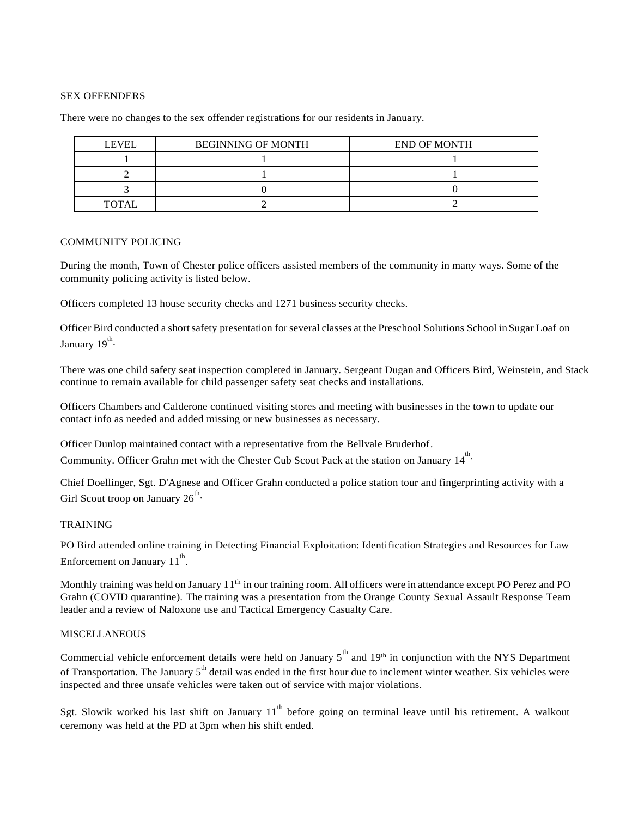## SEX OFFENDERS

| <b>LEVEL</b> | <b>BEGINNING OF MONTH</b> | <b>END OF MONTH</b> |
|--------------|---------------------------|---------------------|
|              |                           |                     |
|              |                           |                     |
|              |                           |                     |
| TOTAL        |                           |                     |

There were no changes to the sex offender registrations for our residents in January.

#### COMMUNITY POLICING

During the month, Town of Chester police officers assisted members of the community in many ways. Some of the community policing activity is listed below.

Officers completed 13 house security checks and 1271 business security checks.

Officer Bird conducted a short safety presentation for several classes at the Preschool Solutions School in Sugar Loaf on January 19<sup>th</sup>.

There was one child safety seat inspection completed in January. Sergeant Dugan and Officers Bird, Weinstein, and Stack continue to remain available for child passenger safety seat checks and installations.

Officers Chambers and Calderone continued visiting stores and meeting with businesses in the town to update our contact info as needed and added missing or new businesses as necessary.

Officer Dunlop maintained contact with a representative from the Bellvale Bruderhof. Community. Officer Grahn met with the Chester Cub Scout Pack at the station on January  $14^{th}$ .

Chief Doellinger, Sgt. D'Agnese and Officer Grahn conducted a police station tour and fingerprinting activity with a Girl Scout troop on January  $26^{\text{th}}$ .

#### TRAINING

PO Bird attended online training in Detecting Financial Exploitation: Identification Strategies and Resources for Law Enforcement on January  $11^{th}$ .

Monthly training was held on January 11<sup>th</sup> in our training room. All officers were in attendance except PO Perez and PO Grahn (COVID quarantine). The training was a presentation from the Orange County Sexual Assault Response Team leader and a review of Naloxone use and Tactical Emergency Casualty Care.

#### MISCELLANEOUS

Commercial vehicle enforcement details were held on January  $5<sup>th</sup>$  and  $19<sup>th</sup>$  in conjunction with the NYS Department of Transportation. The January 5<sup>th</sup> detail was ended in the first hour due to inclement winter weather. Six vehicles were inspected and three unsafe vehicles were taken out of service with major violations.

Sgt. Slowik worked his last shift on January  $11<sup>th</sup>$  before going on terminal leave until his retirement. A walkout ceremony was held at the PD at 3pm when his shift ended.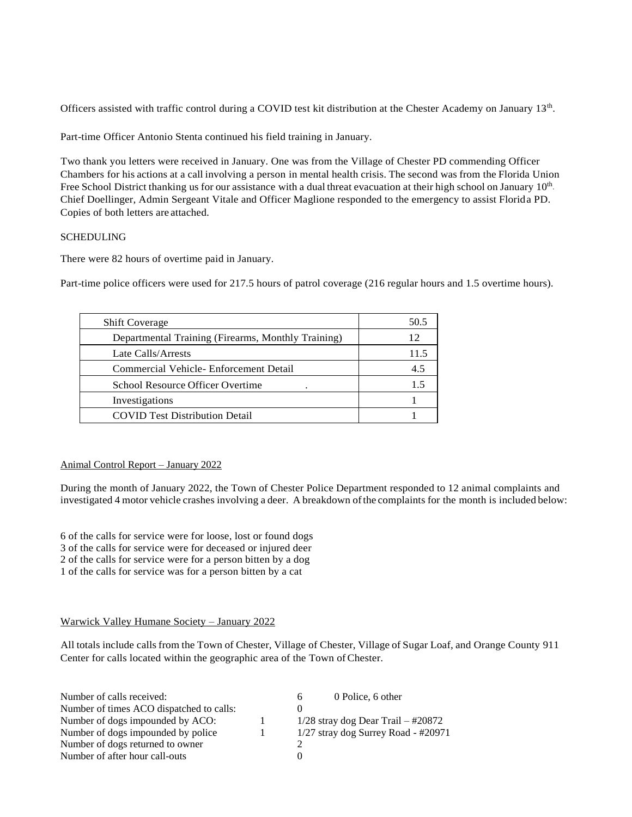Officers assisted with traffic control during a COVID test kit distribution at the Chester Academy on January 13<sup>th</sup>.

Part-time Officer Antonio Stenta continued his field training in January.

Two thank you letters were received in January. One was from the Village of Chester PD commending Officer Chambers for his actions at a call involving a person in mental health crisis. The second was from the Florida Union Free School District thanking us for our assistance with a dual threat evacuation at their high school on January 10<sup>th</sup>. Chief Doellinger, Admin Sergeant Vitale and Officer Maglione responded to the emergency to assist Florida PD. Copies of both letters are attached.

## SCHEDULING

There were 82 hours of overtime paid in January.

Part-time police officers were used for 217.5 hours of patrol coverage (216 regular hours and 1.5 overtime hours).

| <b>Shift Coverage</b>                              | 50.5 |
|----------------------------------------------------|------|
| Departmental Training (Firearms, Monthly Training) | 12   |
| Late Calls/Arrests                                 | 11.5 |
| Commercial Vehicle- Enforcement Detail             | 4.5  |
| School Resource Officer Overtime                   | 15   |
| Investigations                                     |      |
| <b>COVID Test Distribution Detail</b>              |      |

## Animal Control Report – January 2022

During the month of January 2022, the Town of Chester Police Department responded to 12 animal complaints and investigated 4 motor vehicle crashes involving a deer. A breakdown ofthe complaints for the month is included below:

6 of the calls for service were for loose, lost or found dogs 3 of the calls for service were for deceased or injured deer 2 of the calls for service were for a person bitten by a dog 1 of the calls for service was for a person bitten by a cat

## Warwick Valley Humane Society – January 2022

All totals include callsfrom the Town of Chester, Village of Chester, Village of Sugar Loaf, and Orange County 911 Center for calls located within the geographic area of the Town of Chester.

| Number of calls received:                | 0 Police, 6 other<br>6                |
|------------------------------------------|---------------------------------------|
| Number of times ACO dispatched to calls: |                                       |
| Number of dogs impounded by ACO:         | $1/28$ stray dog Dear Trail - #20872  |
| Number of dogs impounded by police       | $1/27$ stray dog Surrey Road - #20971 |
| Number of dogs returned to owner         |                                       |
| Number of after hour call-outs           |                                       |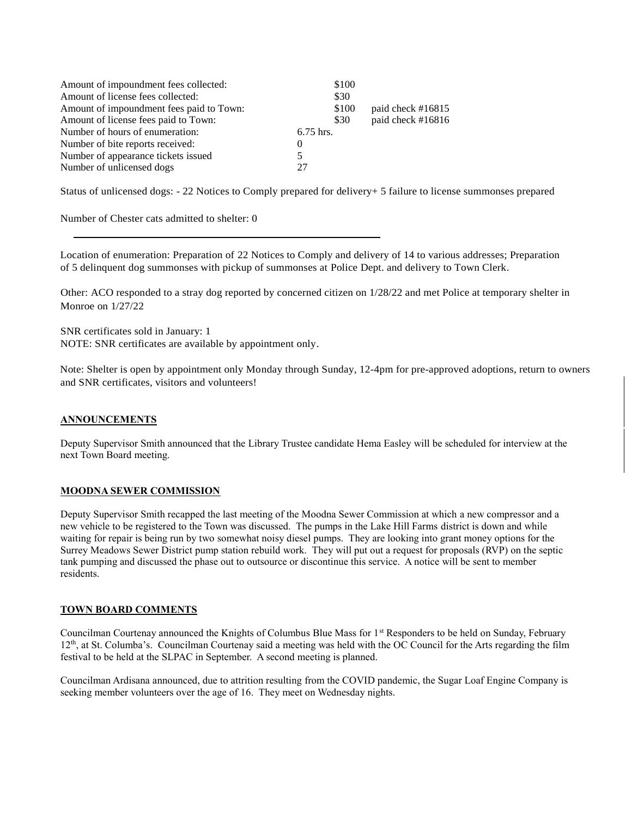| Amount of impoundment fees collected:    | \$100     |                   |
|------------------------------------------|-----------|-------------------|
| Amount of license fees collected:        | \$30      |                   |
| Amount of impoundment fees paid to Town: | \$100     | paid check #16815 |
| Amount of license fees paid to Town:     | \$30      | paid check #16816 |
| Number of hours of enumeration:          | 6.75 hrs. |                   |
| Number of bite reports received:         |           |                   |
| Number of appearance tickets issued      |           |                   |
| Number of unlicensed dogs                | 27        |                   |

Status of unlicensed dogs: - 22 Notices to Comply prepared for delivery+ 5 failure to license summonses prepared

Number of Chester cats admitted to shelter: 0

Location of enumeration: Preparation of 22 Notices to Comply and delivery of 14 to various addresses; Preparation of 5 delinquent dog summonses with pickup of summonses at Police Dept. and delivery to Town Clerk.

Other: ACO responded to a stray dog reported by concerned citizen on 1/28/22 and met Police at temporary shelter in Monroe on 1/27/22

SNR certificates sold in January: 1 NOTE: SNR certificates are available by appointment only.

Note: Shelter is open by appointment only Monday through Sunday, 12-4pm for pre-approved adoptions, return to owners and SNR certificates, visitors and volunteers!

## **ANNOUNCEMENTS**

Deputy Supervisor Smith announced that the Library Trustee candidate Hema Easley will be scheduled for interview at the next Town Board meeting.

## **MOODNA SEWER COMMISSION**

Deputy Supervisor Smith recapped the last meeting of the Moodna Sewer Commission at which a new compressor and a new vehicle to be registered to the Town was discussed. The pumps in the Lake Hill Farms district is down and while waiting for repair is being run by two somewhat noisy diesel pumps. They are looking into grant money options for the Surrey Meadows Sewer District pump station rebuild work. They will put out a request for proposals (RVP) on the septic tank pumping and discussed the phase out to outsource or discontinue this service. A notice will be sent to member residents.

#### **TOWN BOARD COMMENTS**

Councilman Courtenay announced the Knights of Columbus Blue Mass for 1<sup>st</sup> Responders to be held on Sunday, February 12<sup>th</sup>, at St. Columba's. Councilman Courtenay said a meeting was held with the OC Council for the Arts regarding the film festival to be held at the SLPAC in September. A second meeting is planned.

Councilman Ardisana announced, due to attrition resulting from the COVID pandemic, the Sugar Loaf Engine Company is seeking member volunteers over the age of 16. They meet on Wednesday nights.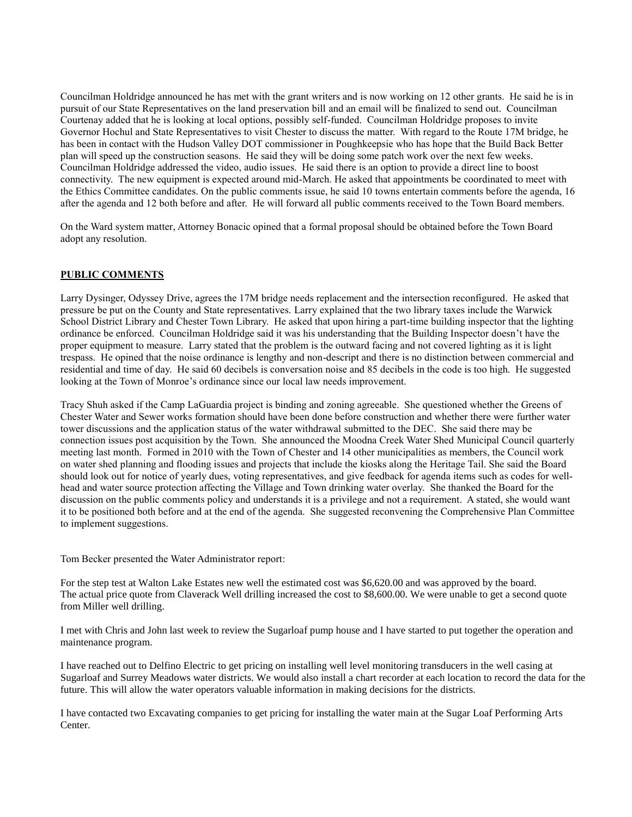Councilman Holdridge announced he has met with the grant writers and is now working on 12 other grants. He said he is in pursuit of our State Representatives on the land preservation bill and an email will be finalized to send out. Councilman Courtenay added that he is looking at local options, possibly self-funded. Councilman Holdridge proposes to invite Governor Hochul and State Representatives to visit Chester to discuss the matter. With regard to the Route 17M bridge, he has been in contact with the Hudson Valley DOT commissioner in Poughkeepsie who has hope that the Build Back Better plan will speed up the construction seasons. He said they will be doing some patch work over the next few weeks. Councilman Holdridge addressed the video, audio issues. He said there is an option to provide a direct line to boost connectivity. The new equipment is expected around mid-March. He asked that appointments be coordinated to meet with the Ethics Committee candidates. On the public comments issue, he said 10 towns entertain comments before the agenda, 16 after the agenda and 12 both before and after. He will forward all public comments received to the Town Board members.

On the Ward system matter, Attorney Bonacic opined that a formal proposal should be obtained before the Town Board adopt any resolution.

## **PUBLIC COMMENTS**

Larry Dysinger, Odyssey Drive, agrees the 17M bridge needs replacement and the intersection reconfigured. He asked that pressure be put on the County and State representatives. Larry explained that the two library taxes include the Warwick School District Library and Chester Town Library. He asked that upon hiring a part-time building inspector that the lighting ordinance be enforced. Councilman Holdridge said it was his understanding that the Building Inspector doesn't have the proper equipment to measure. Larry stated that the problem is the outward facing and not covered lighting as it is light trespass. He opined that the noise ordinance is lengthy and non-descript and there is no distinction between commercial and residential and time of day. He said 60 decibels is conversation noise and 85 decibels in the code is too high. He suggested looking at the Town of Monroe's ordinance since our local law needs improvement.

Tracy Shuh asked if the Camp LaGuardia project is binding and zoning agreeable. She questioned whether the Greens of Chester Water and Sewer works formation should have been done before construction and whether there were further water tower discussions and the application status of the water withdrawal submitted to the DEC. She said there may be connection issues post acquisition by the Town. She announced the Moodna Creek Water Shed Municipal Council quarterly meeting last month. Formed in 2010 with the Town of Chester and 14 other municipalities as members, the Council work on water shed planning and flooding issues and projects that include the kiosks along the Heritage Tail. She said the Board should look out for notice of yearly dues, voting representatives, and give feedback for agenda items such as codes for wellhead and water source protection affecting the Village and Town drinking water overlay. She thanked the Board for the discussion on the public comments policy and understands it is a privilege and not a requirement. A stated, she would want it to be positioned both before and at the end of the agenda. She suggested reconvening the Comprehensive Plan Committee to implement suggestions.

Tom Becker presented the Water Administrator report:

For the step test at Walton Lake Estates new well the estimated cost was \$6,620.00 and was approved by the board. The actual price quote from Claverack Well drilling increased the cost to \$8,600.00. We were unable to get a second quote from Miller well drilling.

I met with Chris and John last week to review the Sugarloaf pump house and I have started to put together the operation and maintenance program.

I have reached out to Delfino Electric to get pricing on installing well level monitoring transducers in the well casing at Sugarloaf and Surrey Meadows water districts. We would also install a chart recorder at each location to record the data for the future. This will allow the water operators valuable information in making decisions for the districts.

I have contacted two Excavating companies to get pricing for installing the water main at the Sugar Loaf Performing Arts Center.